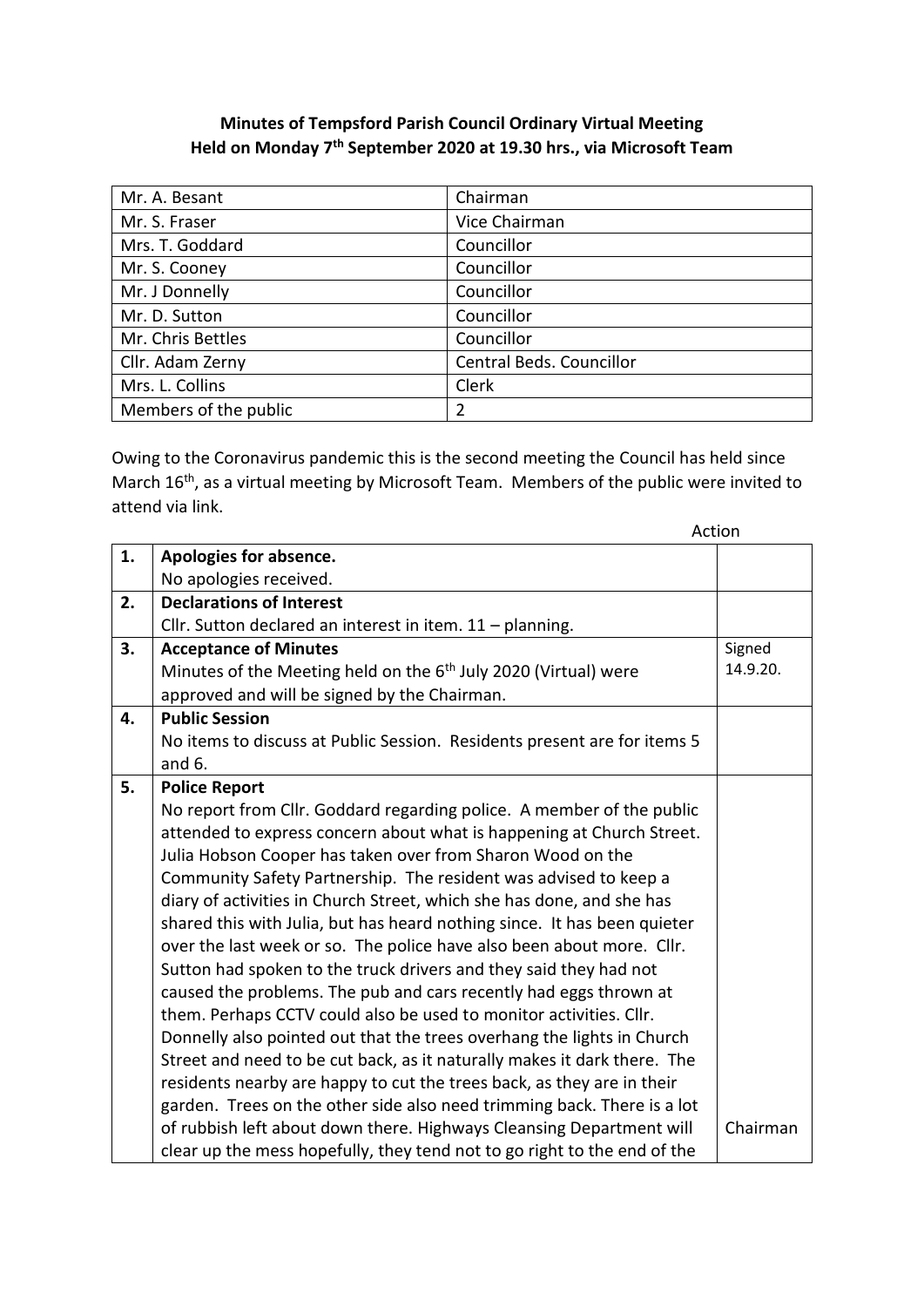## **Minutes of Tempsford Parish Council Ordinary Virtual Meeting Held on Monday 7 th September 2020 at 19.30 hrs., via Microsoft Team**

| Mr. A. Besant         | Chairman                 |
|-----------------------|--------------------------|
| Mr. S. Fraser         | Vice Chairman            |
| Mrs. T. Goddard       | Councillor               |
| Mr. S. Cooney         | Councillor               |
| Mr. J Donnelly        | Councillor               |
| Mr. D. Sutton         | Councillor               |
| Mr. Chris Bettles     | Councillor               |
| Cllr. Adam Zerny      | Central Beds. Councillor |
| Mrs. L. Collins       | Clerk                    |
| Members of the public | 2                        |

Owing to the Coronavirus pandemic this is the second meeting the Council has held since March 16<sup>th</sup>, as a virtual meeting by Microsoft Team. Members of the public were invited to attend via link.

|    |                                                                             | Action   |
|----|-----------------------------------------------------------------------------|----------|
| 1. | Apologies for absence.                                                      |          |
|    | No apologies received.                                                      |          |
| 2. | <b>Declarations of Interest</b>                                             |          |
|    | Cllr. Sutton declared an interest in item. $11$ – planning.                 |          |
| 3. | <b>Acceptance of Minutes</b>                                                | Signed   |
|    | Minutes of the Meeting held on the 6 <sup>th</sup> July 2020 (Virtual) were | 14.9.20. |
|    | approved and will be signed by the Chairman.                                |          |
| 4. | <b>Public Session</b>                                                       |          |
|    | No items to discuss at Public Session. Residents present are for items 5    |          |
|    | and $6.$                                                                    |          |
| 5. | <b>Police Report</b>                                                        |          |
|    | No report from Cllr. Goddard regarding police. A member of the public       |          |
|    | attended to express concern about what is happening at Church Street.       |          |
|    | Julia Hobson Cooper has taken over from Sharon Wood on the                  |          |
|    | Community Safety Partnership. The resident was advised to keep a            |          |
|    | diary of activities in Church Street, which she has done, and she has       |          |
|    | shared this with Julia, but has heard nothing since. It has been quieter    |          |
|    | over the last week or so. The police have also been about more. Cllr.       |          |
|    | Sutton had spoken to the truck drivers and they said they had not           |          |
|    | caused the problems. The pub and cars recently had eggs thrown at           |          |
|    | them. Perhaps CCTV could also be used to monitor activities. Cllr.          |          |
|    | Donnelly also pointed out that the trees overhang the lights in Church      |          |
|    | Street and need to be cut back, as it naturally makes it dark there. The    |          |
|    | residents nearby are happy to cut the trees back, as they are in their      |          |
|    | garden. Trees on the other side also need trimming back. There is a lot     |          |
|    | of rubbish left about down there. Highways Cleansing Department will        | Chairman |
|    | clear up the mess hopefully, they tend not to go right to the end of the    |          |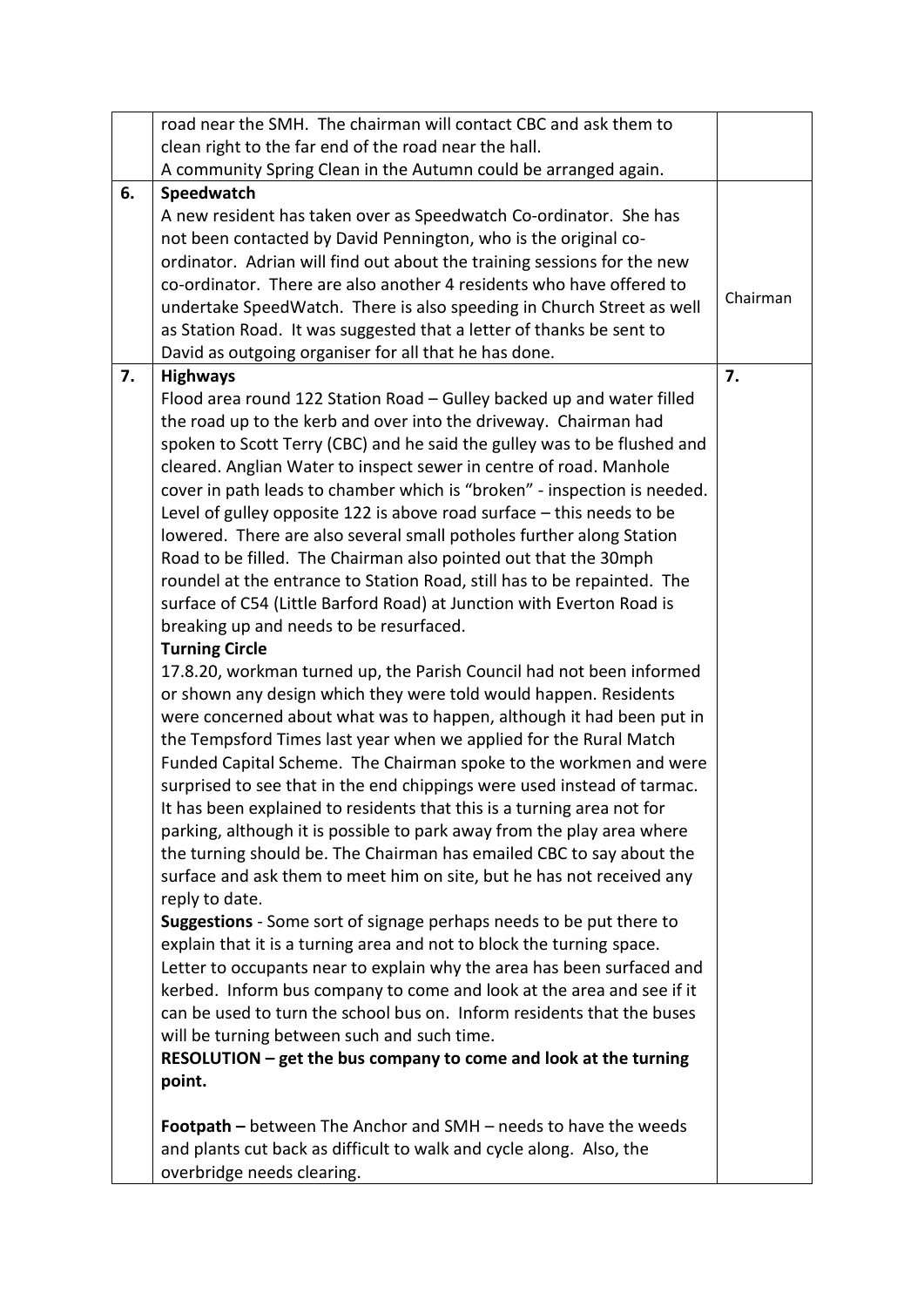|    | road near the SMH. The chairman will contact CBC and ask them to                                                                                                                                                                                                                                                                                                                                                                                                                                                                                                                                                                                                                                                                                                                                                                                                                                                                                                                                                                                                                                                                                                                                                                                                       |          |  |
|----|------------------------------------------------------------------------------------------------------------------------------------------------------------------------------------------------------------------------------------------------------------------------------------------------------------------------------------------------------------------------------------------------------------------------------------------------------------------------------------------------------------------------------------------------------------------------------------------------------------------------------------------------------------------------------------------------------------------------------------------------------------------------------------------------------------------------------------------------------------------------------------------------------------------------------------------------------------------------------------------------------------------------------------------------------------------------------------------------------------------------------------------------------------------------------------------------------------------------------------------------------------------------|----------|--|
|    | clean right to the far end of the road near the hall.                                                                                                                                                                                                                                                                                                                                                                                                                                                                                                                                                                                                                                                                                                                                                                                                                                                                                                                                                                                                                                                                                                                                                                                                                  |          |  |
|    | A community Spring Clean in the Autumn could be arranged again.                                                                                                                                                                                                                                                                                                                                                                                                                                                                                                                                                                                                                                                                                                                                                                                                                                                                                                                                                                                                                                                                                                                                                                                                        |          |  |
| 6. | Speedwatch                                                                                                                                                                                                                                                                                                                                                                                                                                                                                                                                                                                                                                                                                                                                                                                                                                                                                                                                                                                                                                                                                                                                                                                                                                                             |          |  |
|    | A new resident has taken over as Speedwatch Co-ordinator. She has<br>not been contacted by David Pennington, who is the original co-<br>ordinator. Adrian will find out about the training sessions for the new<br>co-ordinator. There are also another 4 residents who have offered to<br>undertake SpeedWatch. There is also speeding in Church Street as well<br>as Station Road. It was suggested that a letter of thanks be sent to<br>David as outgoing organiser for all that he has done.                                                                                                                                                                                                                                                                                                                                                                                                                                                                                                                                                                                                                                                                                                                                                                      | Chairman |  |
| 7. | <b>Highways</b>                                                                                                                                                                                                                                                                                                                                                                                                                                                                                                                                                                                                                                                                                                                                                                                                                                                                                                                                                                                                                                                                                                                                                                                                                                                        | 7.       |  |
|    | Flood area round 122 Station Road - Gulley backed up and water filled<br>the road up to the kerb and over into the driveway. Chairman had<br>spoken to Scott Terry (CBC) and he said the gulley was to be flushed and<br>cleared. Anglian Water to inspect sewer in centre of road. Manhole<br>cover in path leads to chamber which is "broken" - inspection is needed.<br>Level of gulley opposite 122 is above road surface $-$ this needs to be<br>lowered. There are also several small potholes further along Station<br>Road to be filled. The Chairman also pointed out that the 30mph<br>roundel at the entrance to Station Road, still has to be repainted. The<br>surface of C54 (Little Barford Road) at Junction with Everton Road is<br>breaking up and needs to be resurfaced.<br><b>Turning Circle</b>                                                                                                                                                                                                                                                                                                                                                                                                                                                  |          |  |
|    | 17.8.20, workman turned up, the Parish Council had not been informed<br>or shown any design which they were told would happen. Residents<br>were concerned about what was to happen, although it had been put in<br>the Tempsford Times last year when we applied for the Rural Match<br>Funded Capital Scheme. The Chairman spoke to the workmen and were<br>surprised to see that in the end chippings were used instead of tarmac.<br>It has been explained to residents that this is a turning area not for<br>parking, although it is possible to park away from the play area where<br>the turning should be. The Chairman has emailed CBC to say about the<br>surface and ask them to meet him on site, but he has not received any<br>reply to date.<br>Suggestions - Some sort of signage perhaps needs to be put there to<br>explain that it is a turning area and not to block the turning space.<br>Letter to occupants near to explain why the area has been surfaced and<br>kerbed. Inform bus company to come and look at the area and see if it<br>can be used to turn the school bus on. Inform residents that the buses<br>will be turning between such and such time.<br>RESOLUTION - get the bus company to come and look at the turning<br>point. |          |  |
|    | <b>Footpath</b> – between The Anchor and SMH – needs to have the weeds<br>and plants cut back as difficult to walk and cycle along. Also, the<br>overbridge needs clearing.                                                                                                                                                                                                                                                                                                                                                                                                                                                                                                                                                                                                                                                                                                                                                                                                                                                                                                                                                                                                                                                                                            |          |  |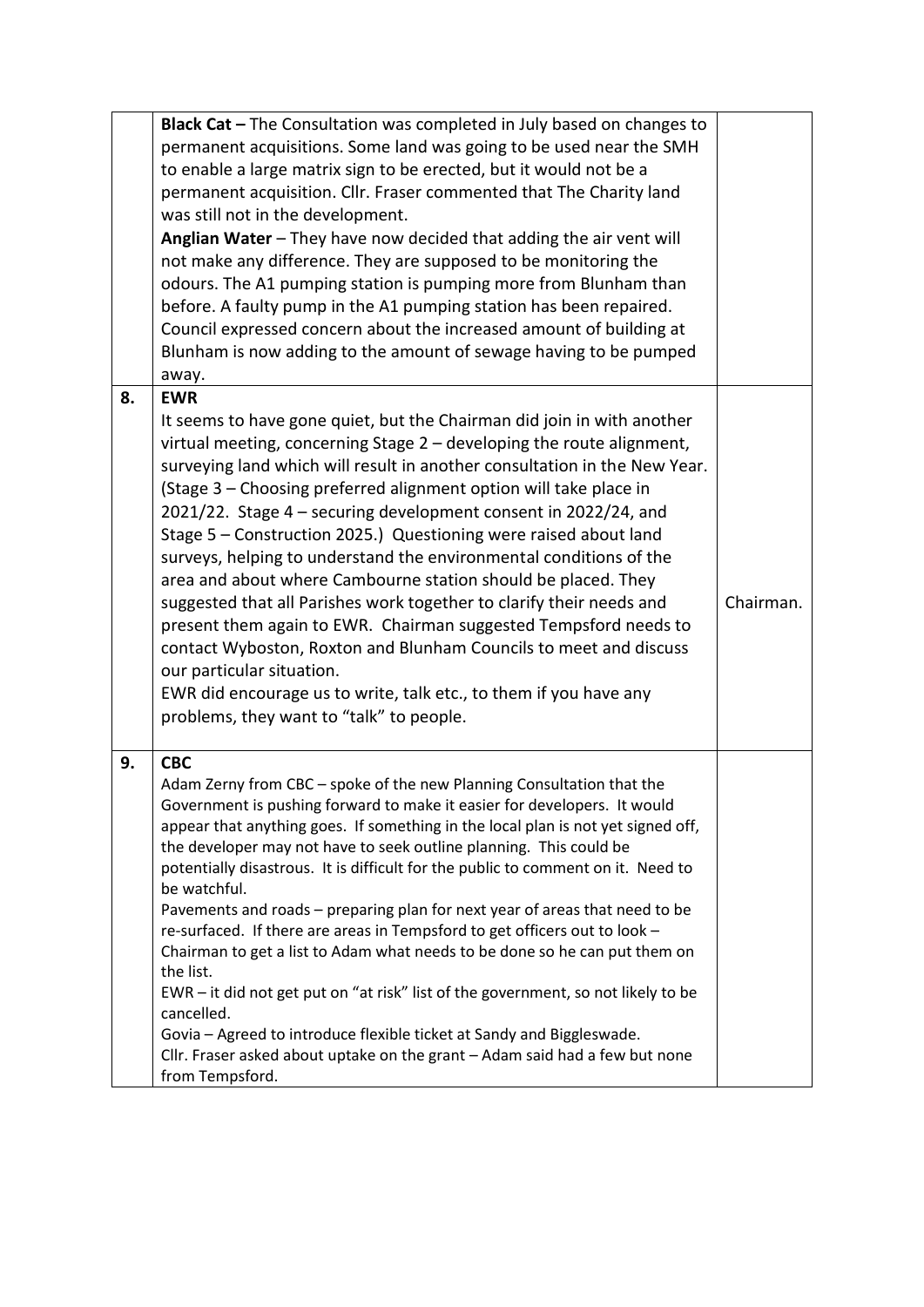|                                                                                                                                                   | Black Cat - The Consultation was completed in July based on changes to<br>permanent acquisitions. Some land was going to be used near the SMH<br>to enable a large matrix sign to be erected, but it would not be a<br>permanent acquisition. Cllr. Fraser commented that The Charity land<br>was still not in the development.<br>Anglian Water - They have now decided that adding the air vent will<br>not make any difference. They are supposed to be monitoring the<br>odours. The A1 pumping station is pumping more from Blunham than<br>before. A faulty pump in the A1 pumping station has been repaired.                                                                                                                                                                                                                                                                                                                                                 |           |  |
|---------------------------------------------------------------------------------------------------------------------------------------------------|---------------------------------------------------------------------------------------------------------------------------------------------------------------------------------------------------------------------------------------------------------------------------------------------------------------------------------------------------------------------------------------------------------------------------------------------------------------------------------------------------------------------------------------------------------------------------------------------------------------------------------------------------------------------------------------------------------------------------------------------------------------------------------------------------------------------------------------------------------------------------------------------------------------------------------------------------------------------|-----------|--|
| Council expressed concern about the increased amount of building at<br>Blunham is now adding to the amount of sewage having to be pumped<br>away. |                                                                                                                                                                                                                                                                                                                                                                                                                                                                                                                                                                                                                                                                                                                                                                                                                                                                                                                                                                     |           |  |
| 8.                                                                                                                                                | <b>EWR</b><br>It seems to have gone quiet, but the Chairman did join in with another<br>virtual meeting, concerning Stage 2 - developing the route alignment,<br>surveying land which will result in another consultation in the New Year.<br>(Stage 3 - Choosing preferred alignment option will take place in<br>2021/22. Stage 4 - securing development consent in 2022/24, and<br>Stage 5 - Construction 2025.) Questioning were raised about land<br>surveys, helping to understand the environmental conditions of the<br>area and about where Cambourne station should be placed. They<br>suggested that all Parishes work together to clarify their needs and<br>present them again to EWR. Chairman suggested Tempsford needs to<br>contact Wyboston, Roxton and Blunham Councils to meet and discuss<br>our particular situation.<br>EWR did encourage us to write, talk etc., to them if you have any<br>problems, they want to "talk" to people.        | Chairman. |  |
| 9.                                                                                                                                                | <b>CBC</b><br>Adam Zerny from CBC - spoke of the new Planning Consultation that the<br>Government is pushing forward to make it easier for developers. It would<br>appear that anything goes. If something in the local plan is not yet signed off,<br>the developer may not have to seek outline planning. This could be<br>potentially disastrous. It is difficult for the public to comment on it. Need to<br>be watchful.<br>Pavements and roads - preparing plan for next year of areas that need to be<br>re-surfaced. If there are areas in Tempsford to get officers out to look -<br>Chairman to get a list to Adam what needs to be done so he can put them on<br>the list.<br>EWR - it did not get put on "at risk" list of the government, so not likely to be<br>cancelled.<br>Govia - Agreed to introduce flexible ticket at Sandy and Biggleswade.<br>Cllr. Fraser asked about uptake on the grant - Adam said had a few but none<br>from Tempsford. |           |  |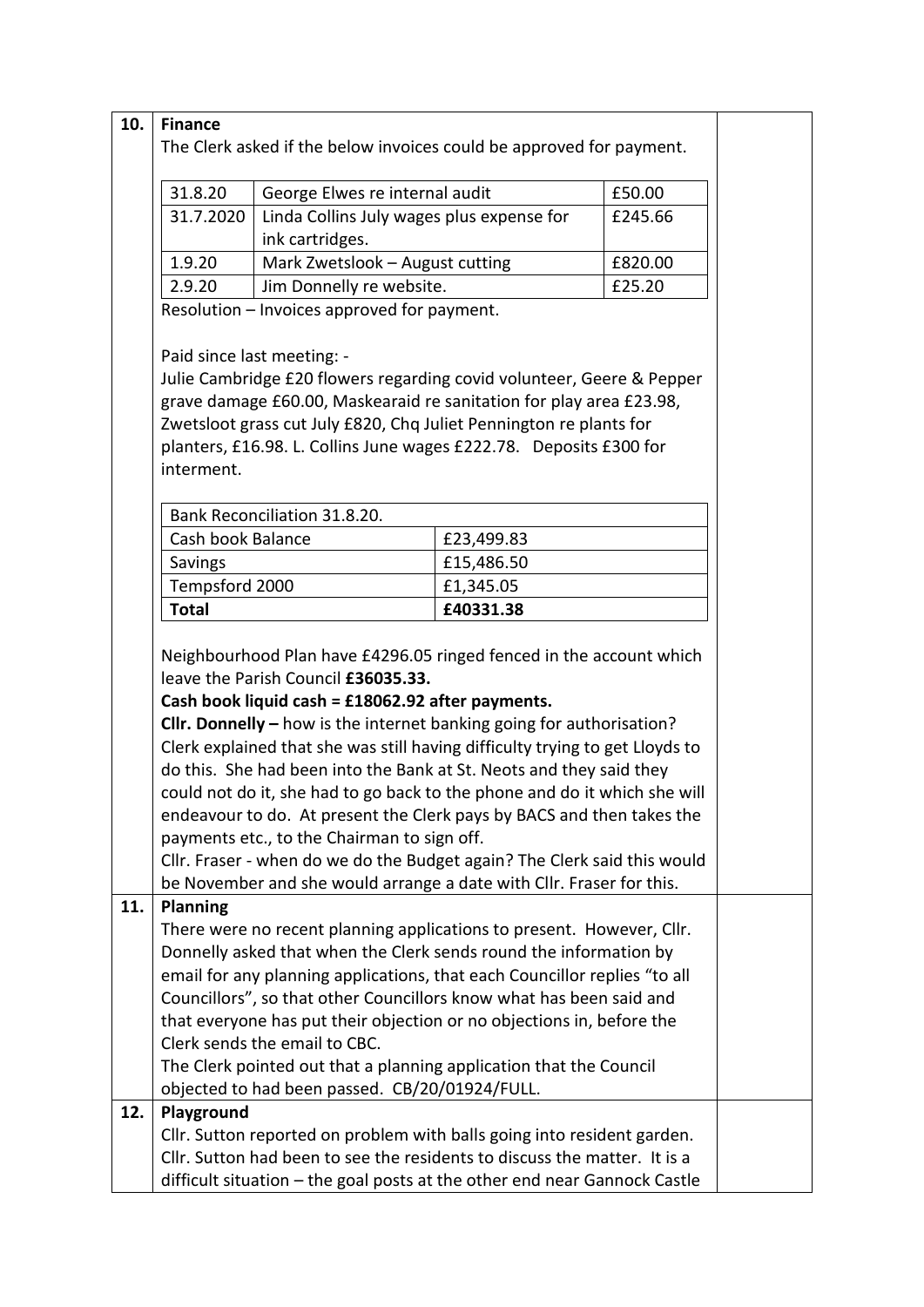| 10. | <b>Finance</b>                                                                                                                                   |                                                                    |  |         |  |
|-----|--------------------------------------------------------------------------------------------------------------------------------------------------|--------------------------------------------------------------------|--|---------|--|
|     | The Clerk asked if the below invoices could be approved for payment.                                                                             |                                                                    |  |         |  |
|     |                                                                                                                                                  |                                                                    |  |         |  |
|     | 31.8.20                                                                                                                                          | George Elwes re internal audit                                     |  | £50.00  |  |
|     | 31.7.2020                                                                                                                                        | Linda Collins July wages plus expense for                          |  | £245.66 |  |
|     |                                                                                                                                                  | ink cartridges.                                                    |  |         |  |
|     | 1.9.20                                                                                                                                           | Mark Zwetslook - August cutting<br>£820.00                         |  |         |  |
|     | Jim Donnelly re website.<br>£25.20<br>2.9.20                                                                                                     |                                                                    |  |         |  |
|     |                                                                                                                                                  | Resolution - Invoices approved for payment.                        |  |         |  |
|     |                                                                                                                                                  |                                                                    |  |         |  |
|     |                                                                                                                                                  | Paid since last meeting: -                                         |  |         |  |
|     | Julie Cambridge £20 flowers regarding covid volunteer, Geere & Pepper                                                                            |                                                                    |  |         |  |
|     | grave damage £60.00, Maskearaid re sanitation for play area £23.98,                                                                              |                                                                    |  |         |  |
|     | Zwetsloot grass cut July £820, Chq Juliet Pennington re plants for                                                                               |                                                                    |  |         |  |
|     |                                                                                                                                                  | planters, £16.98. L. Collins June wages £222.78. Deposits £300 for |  |         |  |
|     | interment.                                                                                                                                       |                                                                    |  |         |  |
|     |                                                                                                                                                  |                                                                    |  |         |  |
|     |                                                                                                                                                  | Bank Reconciliation 31.8.20.                                       |  |         |  |
|     | Cash book Balance<br>£23,499.83                                                                                                                  |                                                                    |  |         |  |
|     | Savings<br>£15,486.50                                                                                                                            |                                                                    |  |         |  |
|     | Tempsford 2000<br>£1,345.05                                                                                                                      |                                                                    |  |         |  |
|     | <b>Total</b><br>£40331.38                                                                                                                        |                                                                    |  |         |  |
|     |                                                                                                                                                  |                                                                    |  |         |  |
|     | Neighbourhood Plan have £4296.05 ringed fenced in the account which                                                                              |                                                                    |  |         |  |
|     | leave the Parish Council £36035.33.                                                                                                              |                                                                    |  |         |  |
|     | Cash book liquid cash = £18062.92 after payments.                                                                                                |                                                                    |  |         |  |
|     | Cllr. Donnelly $-$ how is the internet banking going for authorisation?                                                                          |                                                                    |  |         |  |
|     | Clerk explained that she was still having difficulty trying to get Lloyds to                                                                     |                                                                    |  |         |  |
|     | do this. She had been into the Bank at St. Neots and they said they                                                                              |                                                                    |  |         |  |
|     | could not do it, she had to go back to the phone and do it which she will                                                                        |                                                                    |  |         |  |
|     | endeavour to do. At present the Clerk pays by BACS and then takes the<br>payments etc., to the Chairman to sign off.                             |                                                                    |  |         |  |
|     |                                                                                                                                                  |                                                                    |  |         |  |
|     | Cllr. Fraser - when do we do the Budget again? The Clerk said this would<br>be November and she would arrange a date with Cllr. Fraser for this. |                                                                    |  |         |  |
| 11. | <b>Planning</b>                                                                                                                                  |                                                                    |  |         |  |
|     | There were no recent planning applications to present. However, Cllr.                                                                            |                                                                    |  |         |  |
|     | Donnelly asked that when the Clerk sends round the information by                                                                                |                                                                    |  |         |  |
|     | email for any planning applications, that each Councillor replies "to all                                                                        |                                                                    |  |         |  |
|     | Councillors", so that other Councillors know what has been said and                                                                              |                                                                    |  |         |  |
|     | that everyone has put their objection or no objections in, before the                                                                            |                                                                    |  |         |  |
|     | Clerk sends the email to CBC.                                                                                                                    |                                                                    |  |         |  |
|     | The Clerk pointed out that a planning application that the Council                                                                               |                                                                    |  |         |  |
|     | objected to had been passed. CB/20/01924/FULL.                                                                                                   |                                                                    |  |         |  |
| 12. | Playground                                                                                                                                       |                                                                    |  |         |  |
|     | Cllr. Sutton reported on problem with balls going into resident garden.                                                                          |                                                                    |  |         |  |
|     | Cllr. Sutton had been to see the residents to discuss the matter. It is a                                                                        |                                                                    |  |         |  |
|     | difficult situation - the goal posts at the other end near Gannock Castle                                                                        |                                                                    |  |         |  |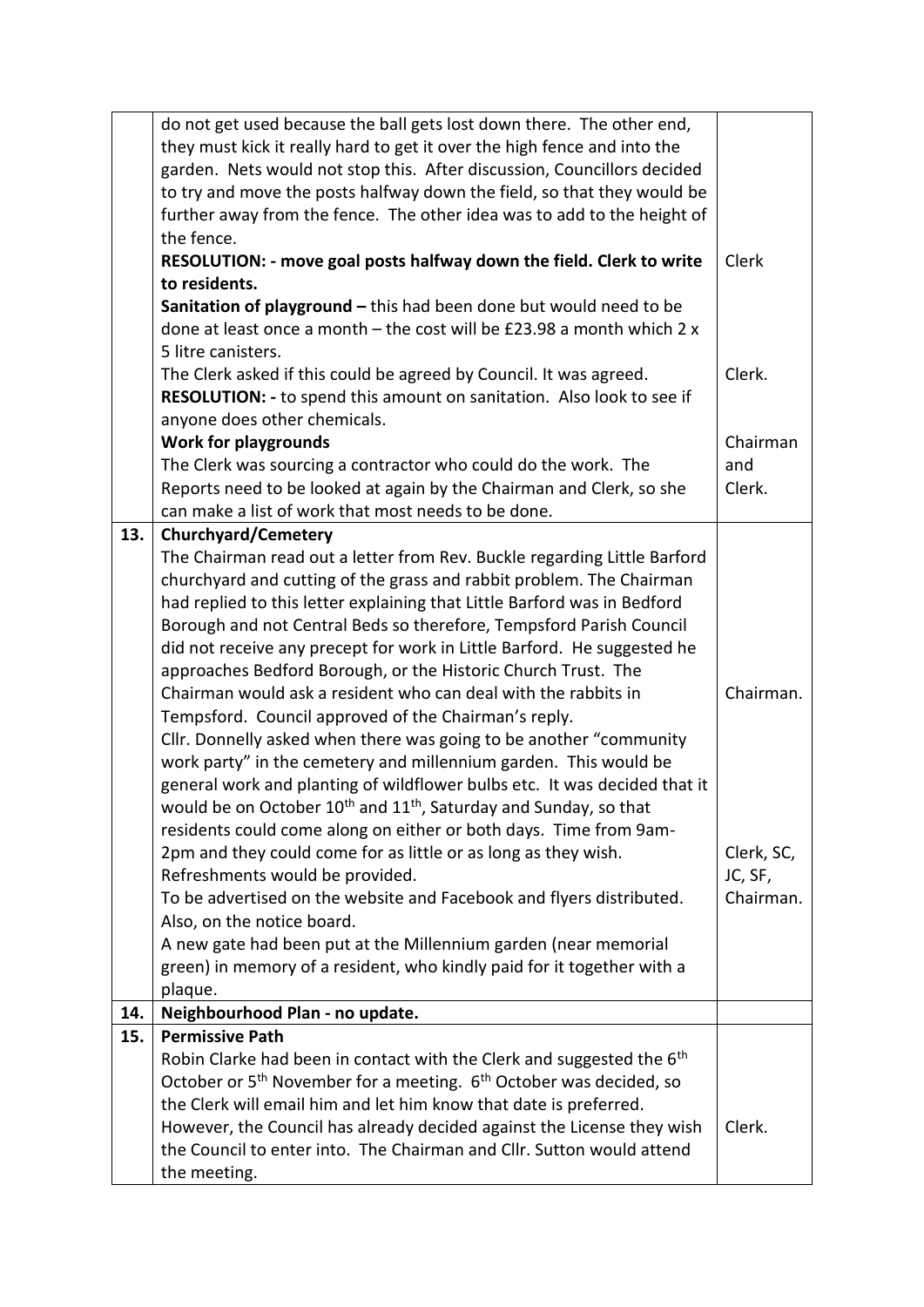|     | do not get used because the ball gets lost down there. The other end,                         |               |  |
|-----|-----------------------------------------------------------------------------------------------|---------------|--|
|     | they must kick it really hard to get it over the high fence and into the                      |               |  |
|     | garden. Nets would not stop this. After discussion, Councillors decided                       |               |  |
|     | to try and move the posts halfway down the field, so that they would be                       |               |  |
|     | further away from the fence. The other idea was to add to the height of                       |               |  |
|     | the fence.                                                                                    |               |  |
|     | RESOLUTION: - move goal posts halfway down the field. Clerk to write                          | Clerk         |  |
|     | to residents.                                                                                 |               |  |
|     | Sanitation of playground - this had been done but would need to be                            |               |  |
|     | done at least once a month $-$ the cost will be £23.98 a month which 2 x                      |               |  |
|     | 5 litre canisters.                                                                            |               |  |
|     | The Clerk asked if this could be agreed by Council. It was agreed.                            | Clerk.        |  |
|     | RESOLUTION: - to spend this amount on sanitation. Also look to see if                         |               |  |
|     | anyone does other chemicals.                                                                  |               |  |
|     |                                                                                               |               |  |
|     | <b>Work for playgrounds</b><br>The Clerk was sourcing a contractor who could do the work. The |               |  |
|     | Reports need to be looked at again by the Chairman and Clerk, so she                          | and<br>Clerk. |  |
|     |                                                                                               |               |  |
|     | can make a list of work that most needs to be done.                                           |               |  |
| 13. | <b>Churchyard/Cemetery</b>                                                                    |               |  |
|     | The Chairman read out a letter from Rev. Buckle regarding Little Barford                      |               |  |
|     | churchyard and cutting of the grass and rabbit problem. The Chairman                          |               |  |
|     | had replied to this letter explaining that Little Barford was in Bedford                      |               |  |
|     | Borough and not Central Beds so therefore, Tempsford Parish Council                           |               |  |
|     | did not receive any precept for work in Little Barford. He suggested he                       |               |  |
|     | approaches Bedford Borough, or the Historic Church Trust. The                                 |               |  |
|     | Chairman would ask a resident who can deal with the rabbits in                                | Chairman.     |  |
|     | Tempsford. Council approved of the Chairman's reply.                                          |               |  |
|     | Cllr. Donnelly asked when there was going to be another "community                            |               |  |
|     | work party" in the cemetery and millennium garden. This would be                              |               |  |
|     | general work and planting of wildflower bulbs etc. It was decided that it                     |               |  |
|     | would be on October 10 <sup>th</sup> and 11 <sup>th</sup> , Saturday and Sunday, so that      |               |  |
|     | residents could come along on either or both days. Time from 9am-                             |               |  |
|     | 2pm and they could come for as little or as long as they wish.                                | Clerk, SC,    |  |
|     | Refreshments would be provided.                                                               | JC, SF,       |  |
|     | To be advertised on the website and Facebook and flyers distributed.                          | Chairman.     |  |
|     | Also, on the notice board.                                                                    |               |  |
|     | A new gate had been put at the Millennium garden (near memorial                               |               |  |
|     | green) in memory of a resident, who kindly paid for it together with a                        |               |  |
|     | plaque.                                                                                       |               |  |
| 14. | Neighbourhood Plan - no update.                                                               |               |  |
| 15. | <b>Permissive Path</b>                                                                        |               |  |
|     | Robin Clarke had been in contact with the Clerk and suggested the $6th$                       |               |  |
|     | October or 5 <sup>th</sup> November for a meeting. 6 <sup>th</sup> October was decided, so    |               |  |
|     | the Clerk will email him and let him know that date is preferred.                             |               |  |
|     | However, the Council has already decided against the License they wish                        | Clerk.        |  |
|     | the Council to enter into. The Chairman and Cllr. Sutton would attend                         |               |  |
|     | the meeting.                                                                                  |               |  |
|     |                                                                                               |               |  |